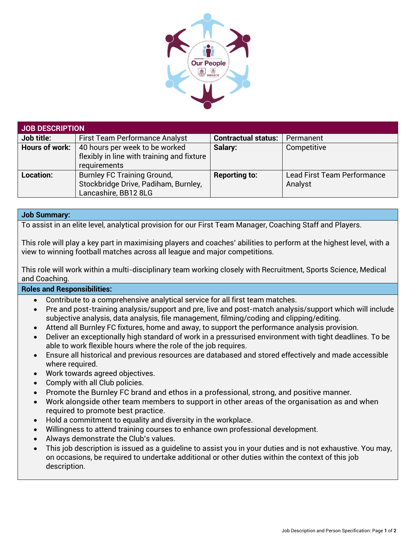

| JOB DESCRIPTION  |                                                                                                    |                            |                                               |
|------------------|----------------------------------------------------------------------------------------------------|----------------------------|-----------------------------------------------|
| Job title:       | <b>First Team Performance Analyst</b>                                                              | <b>Contractual status:</b> | Permanent                                     |
| Hours of work:   | 40 hours per week to be worked<br>flexibly in line with training and fixture<br>requirements       | Salary:                    | Competitive                                   |
| <b>Location:</b> | <b>Burnley FC Training Ground,</b><br>Stockbridge Drive, Padiham, Burnley,<br>Lancashire, BB12 8LG | <b>Reporting to:</b>       | <b>Lead First Team Performance</b><br>Analyst |

## **Job Summary:**

To assist in an elite level, analytical provision for our First Team Manager, Coaching Staff and Players.

This role will play a key part in maximising players and coaches' abilities to perform at the highest level, with a view to winning football matches across all league and major competitions.

This role will work within a multi-disciplinary team working closely with Recruitment, Sports Science, Medical and Coaching.

## **Roles and Responsibilities:**

- Contribute to a comprehensive analytical service for all first team matches.
- Pre and post-training analysis/support and pre, live and post-match analysis/support which will include subjective analysis, data analysis, file management, filming/coding and clipping/editing.
- Attend all Burnley FC fixtures, home and away, to support the performance analysis provision.
- Deliver an exceptionally high standard of work in a pressurised environment with tight deadlines. To be able to work flexible hours where the role of the job requires.
- Ensure all historical and previous resources are databased and stored effectively and made accessible where required.
- Work towards agreed objectives.
- Comply with all Club policies.
- Promote the Burnley FC brand and ethos in a professional, strong, and positive manner.
- Work alongside other team members to support in other areas of the organisation as and when required to promote best practice.
- Hold a commitment to equality and diversity in the workplace.
- Willingness to attend training courses to enhance own professional development.
- Always demonstrate the Club's values.
- This job description is issued as a guideline to assist you in your duties and is not exhaustive. You may, on occasions, be required to undertake additional or other duties within the context of this job description.